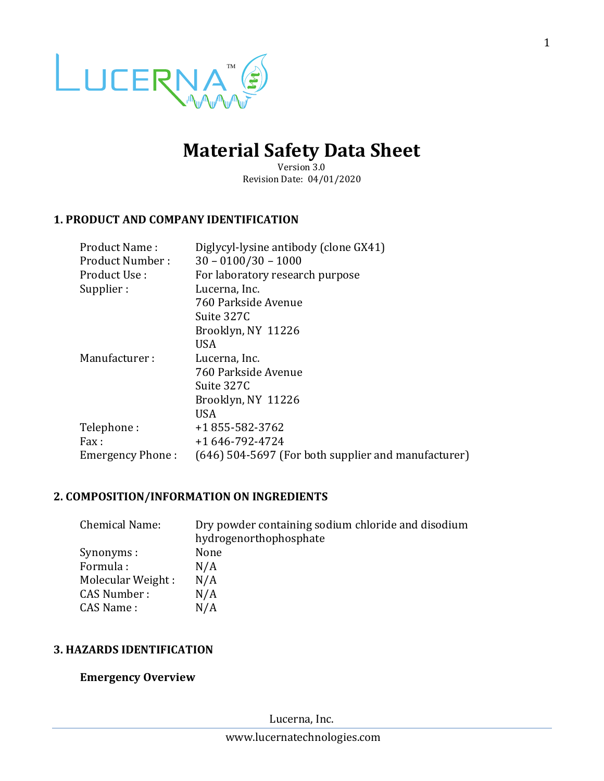

# **Material Safety Data Sheet**

Version 3.0 Revision Date: 04/01/2020

## **1. PRODUCT AND COMPANY IDENTIFICATION**

| Product Name:           | Diglycyl-lysine antibody (clone GX41)               |
|-------------------------|-----------------------------------------------------|
| Product Number:         | $30 - 0100/30 - 1000$                               |
| Product Use:            | For laboratory research purpose                     |
| Supplier:               | Lucerna, Inc.                                       |
|                         | 760 Parkside Avenue                                 |
|                         | Suite 327C                                          |
|                         | Brooklyn, NY 11226                                  |
|                         | <b>USA</b>                                          |
| Manufacturer:           | Lucerna, Inc.                                       |
|                         | 760 Parkside Avenue                                 |
|                         | Suite 327C                                          |
|                         | Brooklyn, NY 11226                                  |
|                         | <b>USA</b>                                          |
| Telephone:              | +1 855-582-3762                                     |
| Fax:                    | +1 646-792-4724                                     |
| <b>Emergency Phone:</b> | (646) 504-5697 (For both supplier and manufacturer) |

## **2. COMPOSITION/INFORMATION ON INGREDIENTS**

| <b>Chemical Name:</b> | Dry powder containing sodium chloride and disodium |
|-----------------------|----------------------------------------------------|
|                       | hydrogenorthophosphate                             |
| Synonyms :            | None                                               |
| Formula:              | N/A                                                |
| Molecular Weight:     | N/A                                                |
| <b>CAS Number:</b>    | N/A                                                |
| CAS Name:             | N/A                                                |

## **3. HAZARDS IDENTIFICATION**

## **Emergency Overview**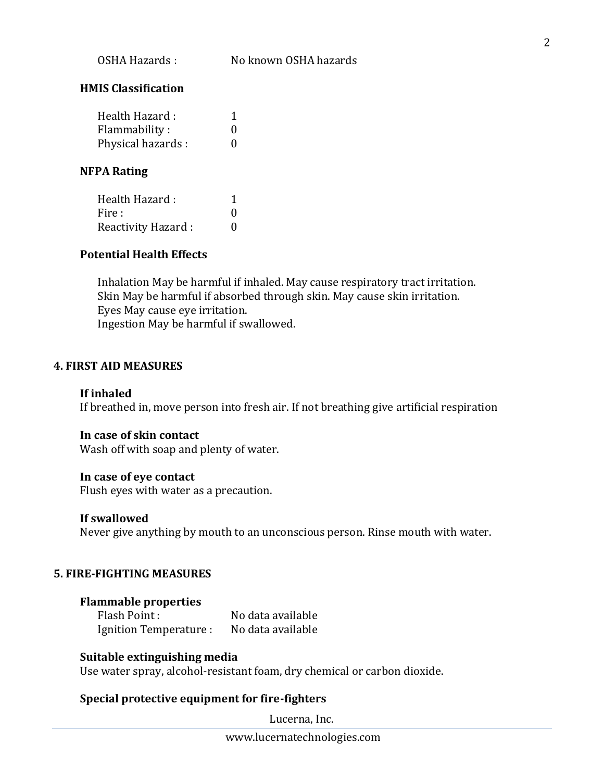## **HMIS Classification**

| Health Hazard:    |   |
|-------------------|---|
| Flammability:     | 0 |
| Physical hazards: | 0 |

#### **NFPA Rating**

| Health Hazard:     |   |
|--------------------|---|
| Fire :             | 0 |
| Reactivity Hazard: | 0 |

## **Potential Health Effects**

Inhalation May be harmful if inhaled. May cause respiratory tract irritation. Skin May be harmful if absorbed through skin. May cause skin irritation. Eyes May cause eye irritation. Ingestion May be harmful if swallowed.

## **4. FIRST AID MEASURES**

#### **If inhaled**

If breathed in, move person into fresh air. If not breathing give artificial respiration

#### **In case of skin contact**

Wash off with soap and plenty of water.

#### **In case of eye contact**

Flush eyes with water as a precaution.

#### **If swallowed**

Never give anything by mouth to an unconscious person. Rinse mouth with water.

### **5. FIRE-FIGHTING MEASURES**

#### **Flammable properties**

Flash Point : No data available Ignition Temperature : No data available

#### **Suitable extinguishing media**

Use water spray, alcohol-resistant foam, dry chemical or carbon dioxide.

## **Special protective equipment for fire-fighters**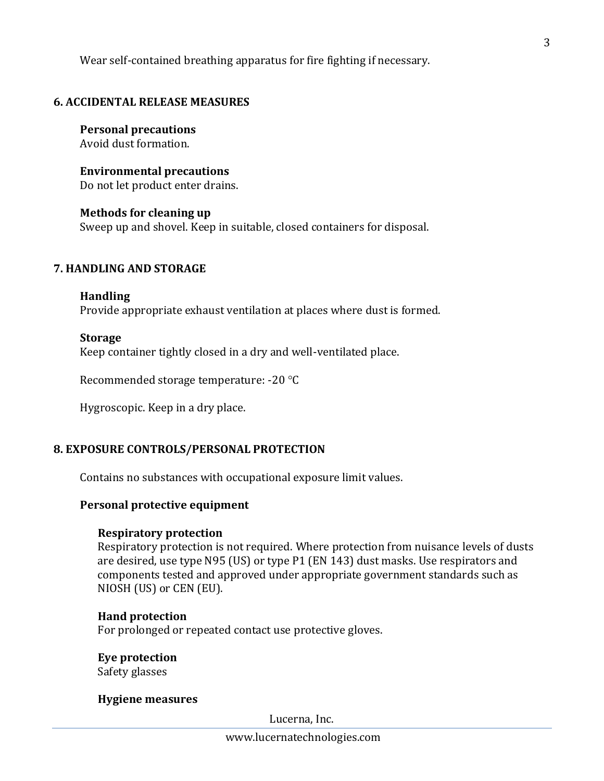Wear self-contained breathing apparatus for fire fighting if necessary.

## **6. ACCIDENTAL RELEASE MEASURES**

**Personal precautions** Avoid dust formation.

**Environmental precautions** Do not let product enter drains.

**Methods for cleaning up** Sweep up and shovel. Keep in suitable, closed containers for disposal.

## **7. HANDLING AND STORAGE**

## **Handling**

Provide appropriate exhaust ventilation at places where dust is formed.

### **Storage**

Keep container tightly closed in a dry and well-ventilated place.

Recommended storage temperature: -20 °C

Hygroscopic. Keep in a dry place.

## **8. EXPOSURE CONTROLS/PERSONAL PROTECTION**

Contains no substances with occupational exposure limit values.

### **Personal protective equipment**

### **Respiratory protection**

Respiratory protection is not required. Where protection from nuisance levels of dusts are desired, use type N95 (US) or type P1 (EN 143) dust masks. Use respirators and components tested and approved under appropriate government standards such as NIOSH (US) or CEN (EU).

### **Hand protection**

For prolonged or repeated contact use protective gloves.

### **Eye protection**

Safety glasses

### **Hygiene measures**

Lucerna, Inc.

3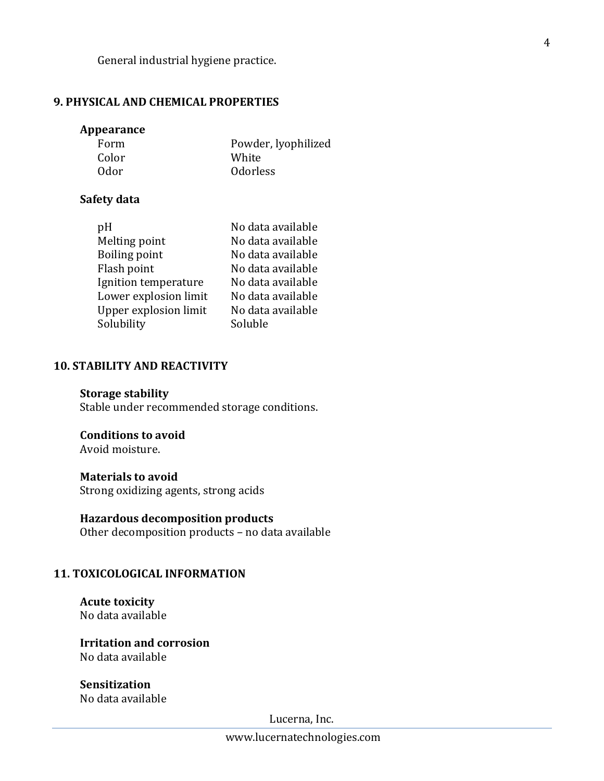General industrial hygiene practice.

## **9. PHYSICAL AND CHEMICAL PROPERTIES**

#### **Appearance**

| Form  | Powder, lyophilized |
|-------|---------------------|
| Color | White               |
| 0dor  | <b>Odorless</b>     |

### **Safety data**

| pH                    | No data available |
|-----------------------|-------------------|
| Melting point         | No data available |
| <b>Boiling point</b>  | No data available |
| Flash point           | No data available |
| Ignition temperature  | No data available |
| Lower explosion limit | No data available |
| Upper explosion limit | No data available |
| Solubility            | Soluble           |

### **10. STABILITY AND REACTIVITY**

#### **Storage stability**

Stable under recommended storage conditions.

## **Conditions to avoid**

Avoid moisture.

## **Materials to avoid**

Strong oxidizing agents, strong acids

**Hazardous decomposition products** Other decomposition products – no data available

## **11. TOXICOLOGICAL INFORMATION**

**Acute toxicity** No data available

**Irritation and corrosion** No data available

**Sensitization** No data available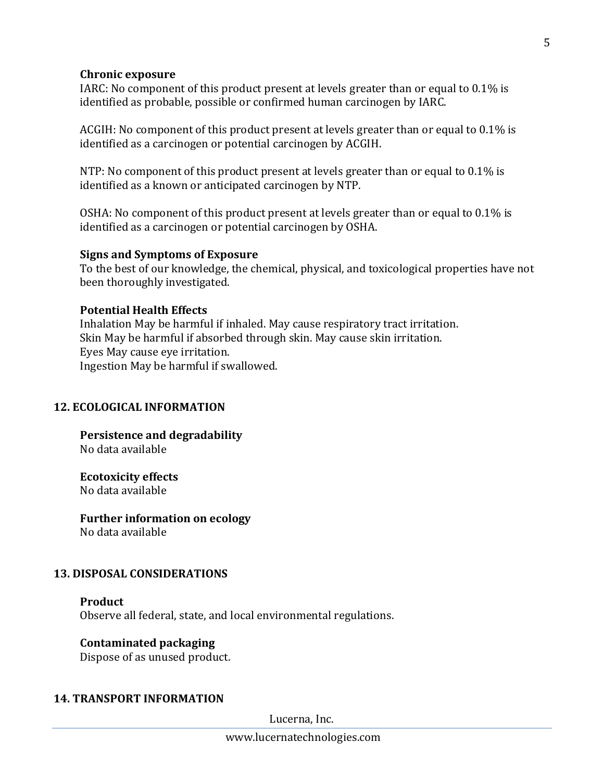#### **Chronic exposure**

IARC: No component of this product present at levels greater than or equal to 0.1% is identified as probable, possible or confirmed human carcinogen by IARC.

ACGIH: No component of this product present at levels greater than or equal to 0.1% is identified as a carcinogen or potential carcinogen by ACGIH.

NTP: No component of this product present at levels greater than or equal to 0.1% is identified as a known or anticipated carcinogen by NTP.

OSHA: No component of this product present at levels greater than or equal to 0.1% is identified as a carcinogen or potential carcinogen by OSHA.

### **Signs and Symptoms of Exposure**

To the best of our knowledge, the chemical, physical, and toxicological properties have not been thoroughly investigated.

## **Potential Health Effects**

Inhalation May be harmful if inhaled. May cause respiratory tract irritation. Skin May be harmful if absorbed through skin. May cause skin irritation. Eyes May cause eye irritation. Ingestion May be harmful if swallowed.

## **12. ECOLOGICAL INFORMATION**

**Persistence and degradability** No data available

**Ecotoxicity effects**

No data available

## **Further information on ecology**

No data available

## **13. DISPOSAL CONSIDERATIONS**

### **Product** Observe all federal, state, and local environmental regulations.

### **Contaminated packaging**

Dispose of as unused product.

### **14. TRANSPORT INFORMATION**

Lucerna, Inc.

www.lucernatechnologies.com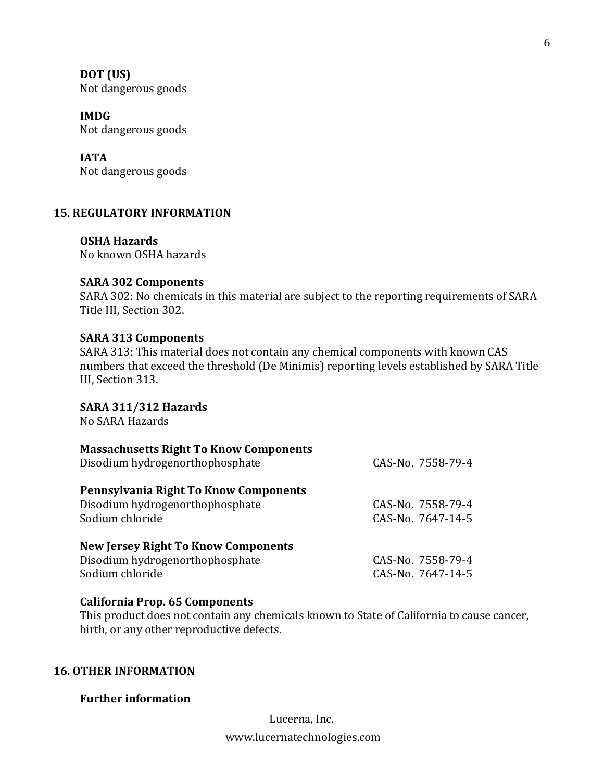**DOT (US)** Not dangerous goods

**IMDG** Not dangerous goods

**IATA** Not dangerous goods

## **15. REGULATORY INFORMATION**

**OSHA Hazards** No known OSHA hazards

## **SARA 302 Components**

SARA 302: No chemicals in this material are subject to the reporting requirements of SARA Title III, Section 302.

## **SARA 313 Components**

SARA 313: This material does not contain any chemical components with known CAS numbers that exceed the threshold (De Minimis) reporting levels established by SARA Title III, Section 313.

**SARA 311/312 Hazards**

No SARA Hazards

| <b>Massachusetts Right To Know Components</b><br>Disodium hydrogenorthophosphate                 | CAS-No. 7558-79-4                      |
|--------------------------------------------------------------------------------------------------|----------------------------------------|
| Pennsylvania Right To Know Components<br>Disodium hydrogenorthophosphate<br>Sodium chloride      | CAS-No. 7558-79-4<br>CAS-No. 7647-14-5 |
| <b>New Jersey Right To Know Components</b><br>Disodium hydrogenorthophosphate<br>Sodium chloride | CAS-No. 7558-79-4<br>CAS-No. 7647-14-5 |

## **California Prop. 65 Components**

This product does not contain any chemicals known to State of California to cause cancer, birth, or any other reproductive defects.

## **16. OTHER INFORMATION**

## **Further information**